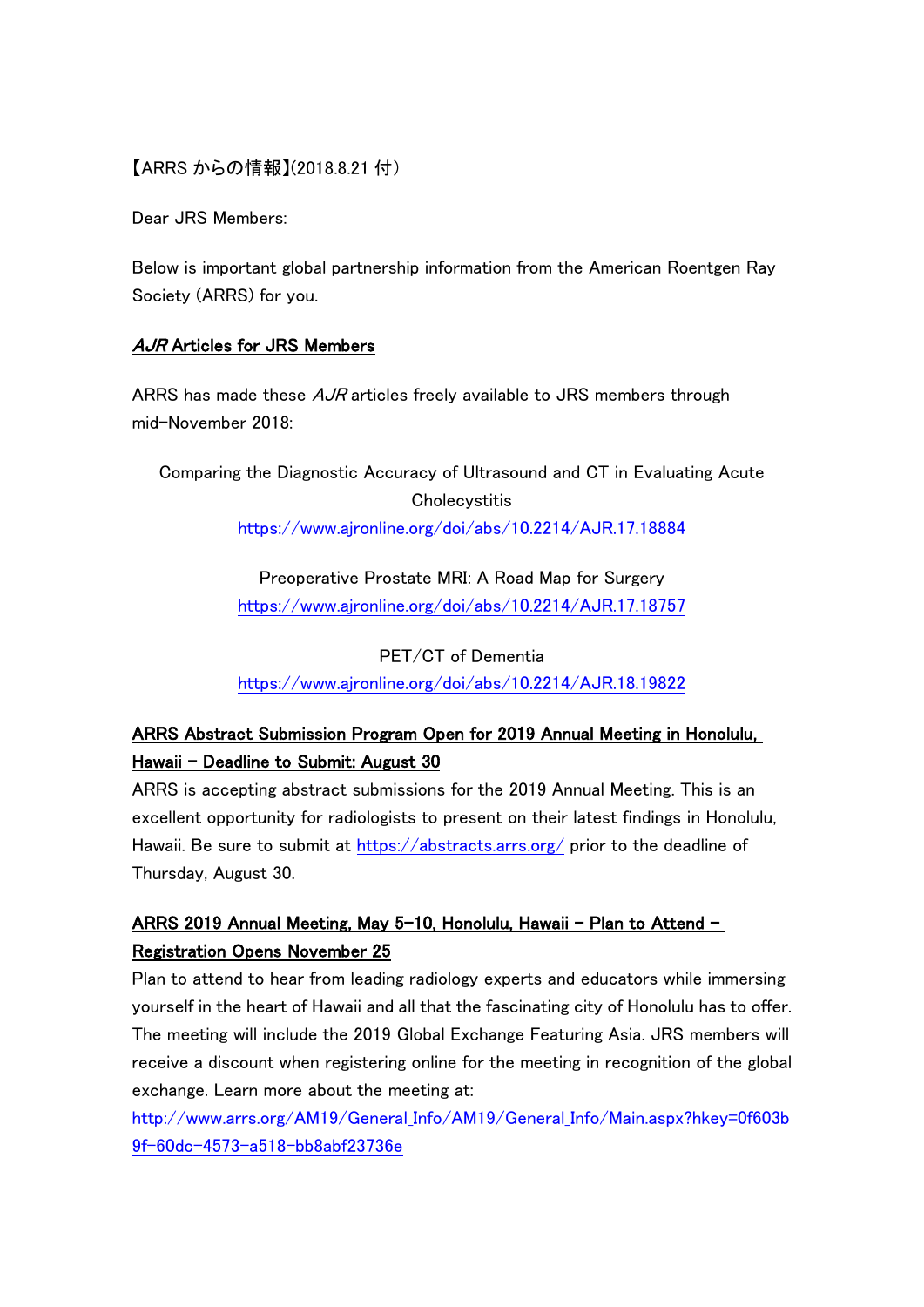### 【ARRS からの情報】(2018.8.21 付)

Dear JRS Members:

Below is important global partnership information from the American Roentgen Ray Society (ARRS) for you.

#### AJR Articles for JRS Members

ARRS has made these  $A$ *JR* articles freely available to JRS members through mid-November 2018:

Comparing the Diagnostic Accuracy of Ultrasound and CT in Evaluating Acute **Cholecystitis** <https://www.ajronline.org/doi/abs/10.2214/AJR.17.18884>

> Preoperative Prostate MRI: A Road Map for Surgery <https://www.ajronline.org/doi/abs/10.2214/AJR.17.18757>

> PET/CT of Dementia <https://www.ajronline.org/doi/abs/10.2214/AJR.18.19822>

# ARRS Abstract Submission Program Open for 2019 Annual Meeting in Honolulu, Hawaii - Deadline to Submit: August 30

ARRS is accepting abstract submissions for the 2019 Annual Meeting. This is an excellent opportunity for radiologists to present on their latest findings in Honolulu, Hawaii. Be sure to submit at<https://abstracts.arrs.org/> prior to the deadline of Thursday, August 30.

## ARRS 2019 Annual Meeting, May 5-10, Honolulu, Hawaii – Plan to Attend – Registration Opens November 25

Plan to attend to hear from leading radiology experts and educators while immersing yourself in the heart of Hawaii and all that the fascinating city of Honolulu has to offer. The meeting will include the 2019 Global Exchange Featuring Asia. JRS members will receive a discount when registering online for the meeting in recognition of the global exchange. Learn more about the meeting at:

[http://www.arrs.org/AM19/General\\_Info/AM19/General\\_Info/Main.aspx?hkey=0f603b](http://www.arrs.org/AM19/General_Info/AM19/General_Info/Main.aspx?hkey=0f603b9f-60dc-4573-a518-bb8abf23736e) [9f-60dc-4573-a518-bb8abf23736e](http://www.arrs.org/AM19/General_Info/AM19/General_Info/Main.aspx?hkey=0f603b9f-60dc-4573-a518-bb8abf23736e)